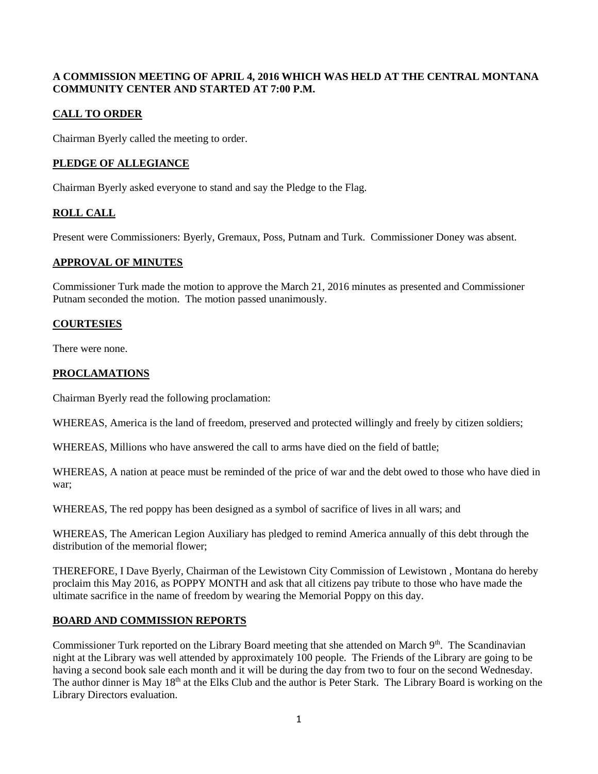#### **A COMMISSION MEETING OF APRIL 4, 2016 WHICH WAS HELD AT THE CENTRAL MONTANA COMMUNITY CENTER AND STARTED AT 7:00 P.M.**

# **CALL TO ORDER**

Chairman Byerly called the meeting to order.

## **PLEDGE OF ALLEGIANCE**

Chairman Byerly asked everyone to stand and say the Pledge to the Flag.

## **ROLL CALL**

Present were Commissioners: Byerly, Gremaux, Poss, Putnam and Turk. Commissioner Doney was absent.

## **APPROVAL OF MINUTES**

Commissioner Turk made the motion to approve the March 21, 2016 minutes as presented and Commissioner Putnam seconded the motion. The motion passed unanimously.

## **COURTESIES**

There were none.

## **PROCLAMATIONS**

Chairman Byerly read the following proclamation:

WHEREAS, America is the land of freedom, preserved and protected willingly and freely by citizen soldiers;

WHEREAS, Millions who have answered the call to arms have died on the field of battle;

WHEREAS, A nation at peace must be reminded of the price of war and the debt owed to those who have died in war;

WHEREAS, The red poppy has been designed as a symbol of sacrifice of lives in all wars; and

WHEREAS, The American Legion Auxiliary has pledged to remind America annually of this debt through the distribution of the memorial flower;

THEREFORE, I Dave Byerly, Chairman of the Lewistown City Commission of Lewistown , Montana do hereby proclaim this May 2016, as POPPY MONTH and ask that all citizens pay tribute to those who have made the ultimate sacrifice in the name of freedom by wearing the Memorial Poppy on this day.

## **BOARD AND COMMISSION REPORTS**

Commissioner Turk reported on the Library Board meeting that she attended on March 9<sup>th</sup>. The Scandinavian night at the Library was well attended by approximately 100 people. The Friends of the Library are going to be having a second book sale each month and it will be during the day from two to four on the second Wednesday. The author dinner is May 18<sup>th</sup> at the Elks Club and the author is Peter Stark. The Library Board is working on the Library Directors evaluation.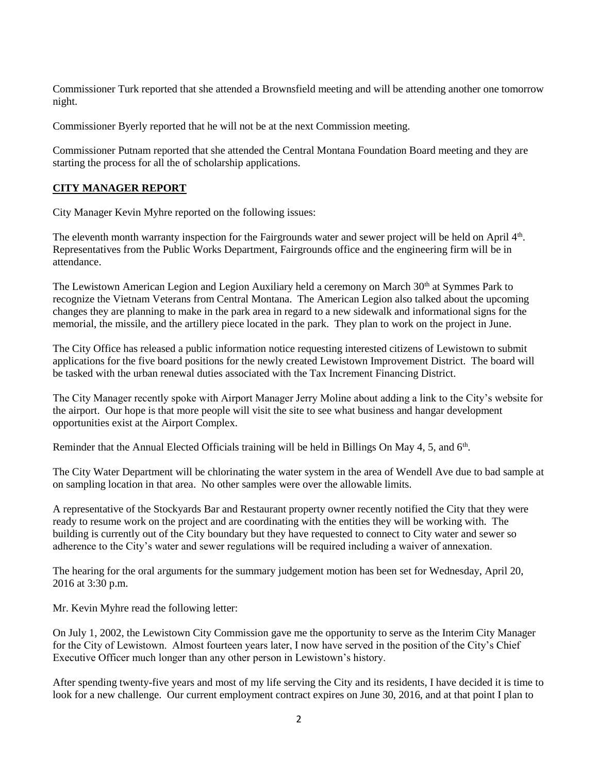Commissioner Turk reported that she attended a Brownsfield meeting and will be attending another one tomorrow night.

Commissioner Byerly reported that he will not be at the next Commission meeting.

Commissioner Putnam reported that she attended the Central Montana Foundation Board meeting and they are starting the process for all the of scholarship applications.

# **CITY MANAGER REPORT**

City Manager Kevin Myhre reported on the following issues:

The eleventh month warranty inspection for the Fairgrounds water and sewer project will be held on April 4<sup>th</sup>. Representatives from the Public Works Department, Fairgrounds office and the engineering firm will be in attendance.

The Lewistown American Legion and Legion Auxiliary held a ceremony on March 30<sup>th</sup> at Symmes Park to recognize the Vietnam Veterans from Central Montana. The American Legion also talked about the upcoming changes they are planning to make in the park area in regard to a new sidewalk and informational signs for the memorial, the missile, and the artillery piece located in the park. They plan to work on the project in June.

The City Office has released a public information notice requesting interested citizens of Lewistown to submit applications for the five board positions for the newly created Lewistown Improvement District. The board will be tasked with the urban renewal duties associated with the Tax Increment Financing District.

The City Manager recently spoke with Airport Manager Jerry Moline about adding a link to the City's website for the airport. Our hope is that more people will visit the site to see what business and hangar development opportunities exist at the Airport Complex.

Reminder that the Annual Elected Officials training will be held in Billings On May 4, 5, and 6<sup>th</sup>.

The City Water Department will be chlorinating the water system in the area of Wendell Ave due to bad sample at on sampling location in that area. No other samples were over the allowable limits.

A representative of the Stockyards Bar and Restaurant property owner recently notified the City that they were ready to resume work on the project and are coordinating with the entities they will be working with. The building is currently out of the City boundary but they have requested to connect to City water and sewer so adherence to the City's water and sewer regulations will be required including a waiver of annexation.

The hearing for the oral arguments for the summary judgement motion has been set for Wednesday, April 20, 2016 at 3:30 p.m.

Mr. Kevin Myhre read the following letter:

On July 1, 2002, the Lewistown City Commission gave me the opportunity to serve as the Interim City Manager for the City of Lewistown. Almost fourteen years later, I now have served in the position of the City's Chief Executive Officer much longer than any other person in Lewistown's history.

After spending twenty-five years and most of my life serving the City and its residents, I have decided it is time to look for a new challenge. Our current employment contract expires on June 30, 2016, and at that point I plan to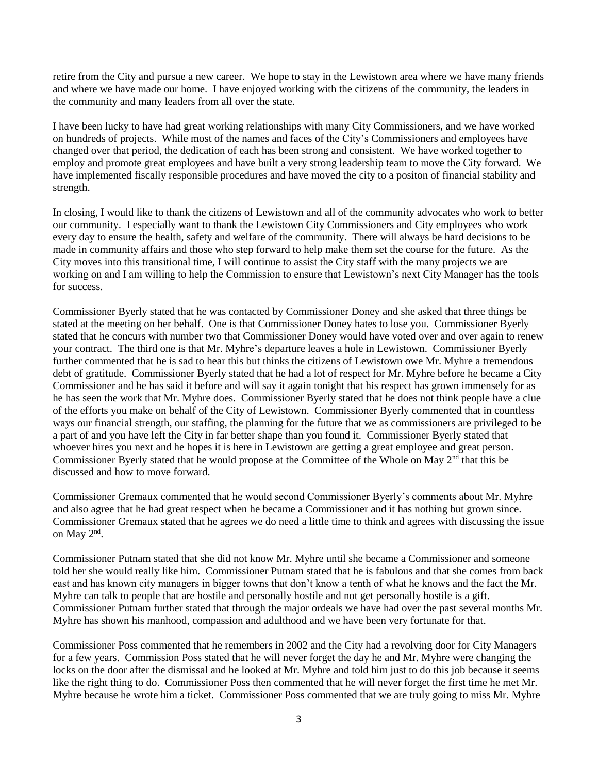retire from the City and pursue a new career. We hope to stay in the Lewistown area where we have many friends and where we have made our home. I have enjoyed working with the citizens of the community, the leaders in the community and many leaders from all over the state.

I have been lucky to have had great working relationships with many City Commissioners, and we have worked on hundreds of projects. While most of the names and faces of the City's Commissioners and employees have changed over that period, the dedication of each has been strong and consistent. We have worked together to employ and promote great employees and have built a very strong leadership team to move the City forward. We have implemented fiscally responsible procedures and have moved the city to a positon of financial stability and strength.

In closing, I would like to thank the citizens of Lewistown and all of the community advocates who work to better our community. I especially want to thank the Lewistown City Commissioners and City employees who work every day to ensure the health, safety and welfare of the community. There will always be hard decisions to be made in community affairs and those who step forward to help make them set the course for the future. As the City moves into this transitional time, I will continue to assist the City staff with the many projects we are working on and I am willing to help the Commission to ensure that Lewistown's next City Manager has the tools for success.

Commissioner Byerly stated that he was contacted by Commissioner Doney and she asked that three things be stated at the meeting on her behalf. One is that Commissioner Doney hates to lose you. Commissioner Byerly stated that he concurs with number two that Commissioner Doney would have voted over and over again to renew your contract. The third one is that Mr. Myhre's departure leaves a hole in Lewistown. Commissioner Byerly further commented that he is sad to hear this but thinks the citizens of Lewistown owe Mr. Myhre a tremendous debt of gratitude. Commissioner Byerly stated that he had a lot of respect for Mr. Myhre before he became a City Commissioner and he has said it before and will say it again tonight that his respect has grown immensely for as he has seen the work that Mr. Myhre does. Commissioner Byerly stated that he does not think people have a clue of the efforts you make on behalf of the City of Lewistown. Commissioner Byerly commented that in countless ways our financial strength, our staffing, the planning for the future that we as commissioners are privileged to be a part of and you have left the City in far better shape than you found it. Commissioner Byerly stated that whoever hires you next and he hopes it is here in Lewistown are getting a great employee and great person. Commissioner Byerly stated that he would propose at the Committee of the Whole on May 2<sup>nd</sup> that this be discussed and how to move forward.

Commissioner Gremaux commented that he would second Commissioner Byerly's comments about Mr. Myhre and also agree that he had great respect when he became a Commissioner and it has nothing but grown since. Commissioner Gremaux stated that he agrees we do need a little time to think and agrees with discussing the issue on May 2<sup>nd</sup>.

Commissioner Putnam stated that she did not know Mr. Myhre until she became a Commissioner and someone told her she would really like him. Commissioner Putnam stated that he is fabulous and that she comes from back east and has known city managers in bigger towns that don't know a tenth of what he knows and the fact the Mr. Myhre can talk to people that are hostile and personally hostile and not get personally hostile is a gift. Commissioner Putnam further stated that through the major ordeals we have had over the past several months Mr. Myhre has shown his manhood, compassion and adulthood and we have been very fortunate for that.

Commissioner Poss commented that he remembers in 2002 and the City had a revolving door for City Managers for a few years. Commission Poss stated that he will never forget the day he and Mr. Myhre were changing the locks on the door after the dismissal and he looked at Mr. Myhre and told him just to do this job because it seems like the right thing to do. Commissioner Poss then commented that he will never forget the first time he met Mr. Myhre because he wrote him a ticket. Commissioner Poss commented that we are truly going to miss Mr. Myhre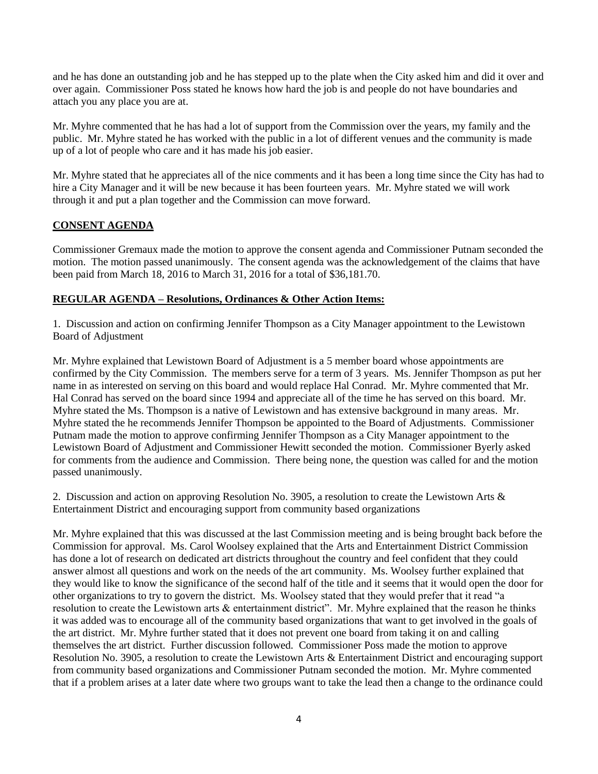and he has done an outstanding job and he has stepped up to the plate when the City asked him and did it over and over again. Commissioner Poss stated he knows how hard the job is and people do not have boundaries and attach you any place you are at.

Mr. Myhre commented that he has had a lot of support from the Commission over the years, my family and the public. Mr. Myhre stated he has worked with the public in a lot of different venues and the community is made up of a lot of people who care and it has made his job easier.

Mr. Myhre stated that he appreciates all of the nice comments and it has been a long time since the City has had to hire a City Manager and it will be new because it has been fourteen years. Mr. Myhre stated we will work through it and put a plan together and the Commission can move forward.

## **CONSENT AGENDA**

Commissioner Gremaux made the motion to approve the consent agenda and Commissioner Putnam seconded the motion. The motion passed unanimously. The consent agenda was the acknowledgement of the claims that have been paid from March 18, 2016 to March 31, 2016 for a total of \$36,181.70.

#### **REGULAR AGENDA – Resolutions, Ordinances & Other Action Items:**

1. Discussion and action on confirming Jennifer Thompson as a City Manager appointment to the Lewistown Board of Adjustment

Mr. Myhre explained that Lewistown Board of Adjustment is a 5 member board whose appointments are confirmed by the City Commission. The members serve for a term of 3 years. Ms. Jennifer Thompson as put her name in as interested on serving on this board and would replace Hal Conrad. Mr. Myhre commented that Mr. Hal Conrad has served on the board since 1994 and appreciate all of the time he has served on this board. Mr. Myhre stated the Ms. Thompson is a native of Lewistown and has extensive background in many areas. Mr. Myhre stated the he recommends Jennifer Thompson be appointed to the Board of Adjustments. Commissioner Putnam made the motion to approve confirming Jennifer Thompson as a City Manager appointment to the Lewistown Board of Adjustment and Commissioner Hewitt seconded the motion. Commissioner Byerly asked for comments from the audience and Commission. There being none, the question was called for and the motion passed unanimously.

2. Discussion and action on approving Resolution No. 3905, a resolution to create the Lewistown Arts & Entertainment District and encouraging support from community based organizations

Mr. Myhre explained that this was discussed at the last Commission meeting and is being brought back before the Commission for approval. Ms. Carol Woolsey explained that the Arts and Entertainment District Commission has done a lot of research on dedicated art districts throughout the country and feel confident that they could answer almost all questions and work on the needs of the art community. Ms. Woolsey further explained that they would like to know the significance of the second half of the title and it seems that it would open the door for other organizations to try to govern the district. Ms. Woolsey stated that they would prefer that it read "a resolution to create the Lewistown arts & entertainment district". Mr. Myhre explained that the reason he thinks it was added was to encourage all of the community based organizations that want to get involved in the goals of the art district. Mr. Myhre further stated that it does not prevent one board from taking it on and calling themselves the art district. Further discussion followed. Commissioner Poss made the motion to approve Resolution No. 3905, a resolution to create the Lewistown Arts & Entertainment District and encouraging support from community based organizations and Commissioner Putnam seconded the motion. Mr. Myhre commented that if a problem arises at a later date where two groups want to take the lead then a change to the ordinance could